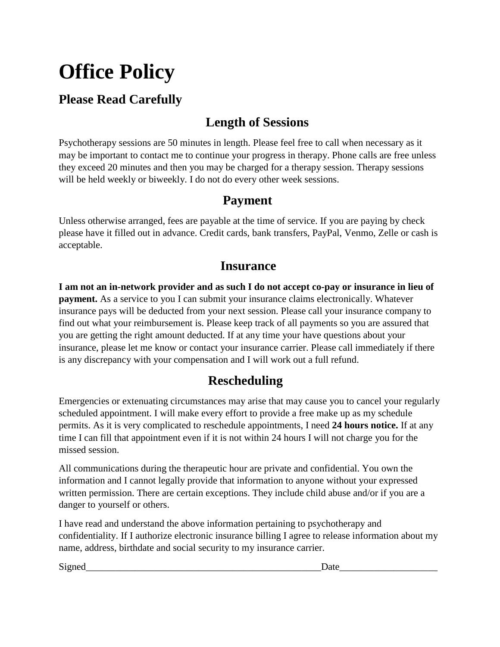# **Office Policy**

## **Please Read Carefully**

## **Length of Sessions**

Psychotherapy sessions are 50 minutes in length. Please feel free to call when necessary as it may be important to contact me to continue your progress in therapy. Phone calls are free unless they exceed 20 minutes and then you may be charged for a therapy session. Therapy sessions will be held weekly or biweekly. I do not do every other week sessions.

#### **Payment**

Unless otherwise arranged, fees are payable at the time of service. If you are paying by check please have it filled out in advance. Credit cards, bank transfers, PayPal, Venmo, Zelle or cash is acceptable.

#### **Insurance**

**I am not an in-network provider and as such I do not accept co-pay or insurance in lieu of payment.** As a service to you I can submit your insurance claims electronically. Whatever insurance pays will be deducted from your next session. Please call your insurance company to find out what your reimbursement is. Please keep track of all payments so you are assured that you are getting the right amount deducted. If at any time your have questions about your insurance, please let me know or contact your insurance carrier. Please call immediately if there is any discrepancy with your compensation and I will work out a full refund.

### **Rescheduling**

Emergencies or extenuating circumstances may arise that may cause you to cancel your regularly scheduled appointment. I will make every effort to provide a free make up as my schedule permits. As it is very complicated to reschedule appointments, I need **24 hours notice.** If at any time I can fill that appointment even if it is not within 24 hours I will not charge you for the missed session.

All communications during the therapeutic hour are private and confidential. You own the information and I cannot legally provide that information to anyone without your expressed written permission. There are certain exceptions. They include child abuse and/or if you are a danger to yourself or others.

I have read and understand the above information pertaining to psychotherapy and confidentiality. If I authorize electronic insurance billing I agree to release information about my name, address, birthdate and social security to my insurance carrier.

Signed\_\_\_\_\_\_\_\_\_\_\_\_\_\_\_\_\_\_\_\_\_\_\_\_\_\_\_\_\_\_\_\_\_\_\_\_\_\_\_\_\_\_\_\_\_\_\_\_Date\_\_\_\_\_\_\_\_\_\_\_\_\_\_\_\_\_\_\_\_